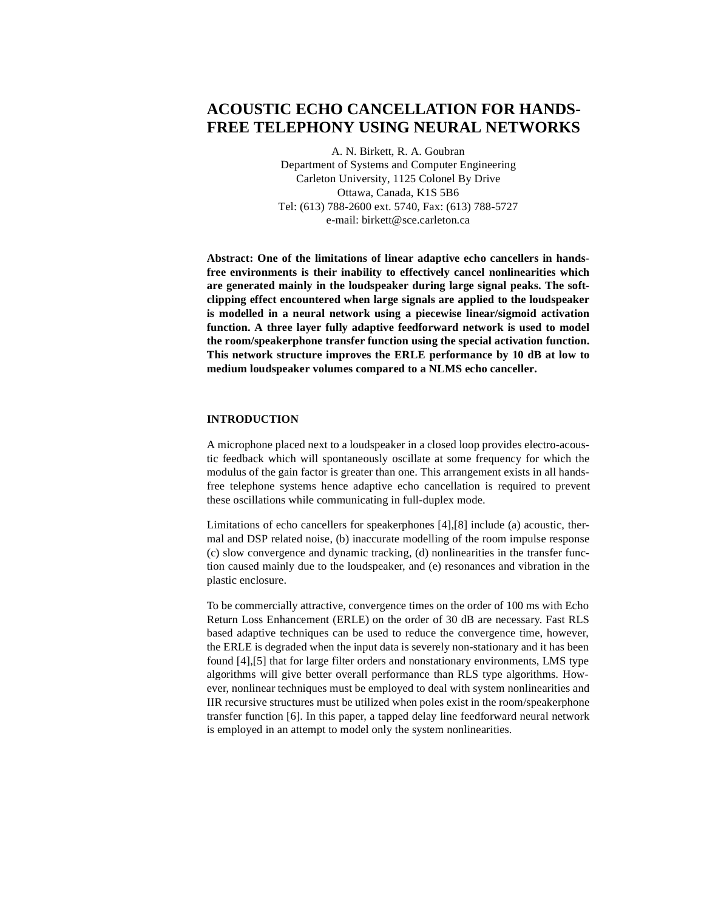# **ACOUSTIC ECHO CANCELLATION FOR HANDS-FREE TELEPHONY USING NEURAL NETWORKS**

A. N. Birkett, R. A. Goubran Department of Systems and Computer Engineering Carleton University, 1125 Colonel By Drive Ottawa, Canada, K1S 5B6 Tel: (613) 788-2600 ext. 5740, Fax: (613) 788-5727 e-mail: birkett@sce.carleton.ca

**Abstract: One of the limitations of linear adaptive echo cancellers in handsfree environments is their inability to effectively cancel nonlinearities which are generated mainly in the loudspeaker during large signal peaks. The softclipping effect encountered when large signals are applied to the loudspeaker is modelled in a neural network using a piecewise linear/sigmoid activation function. A three layer fully adaptive feedforward network is used to model the room/speakerphone transfer function using the special activation function. This network structure improves the ERLE performance by 10 dB at low to medium loudspeaker volumes compared to a NLMS echo canceller.**

## **INTRODUCTION**

A microphone placed next to a loudspeaker in a closed loop provides electro-acoustic feedback which will spontaneously oscillate at some frequency for which the modulus of the gain factor is greater than one. This arrangement exists in all handsfree telephone systems hence adaptive echo cancellation is required to prevent these oscillations while communicating in full-duplex mode.

Limitations of echo cancellers for speakerphones [4],[8] include (a) acoustic, thermal and DSP related noise, (b) inaccurate modelling of the room impulse response (c) slow convergence and dynamic tracking, (d) nonlinearities in the transfer function caused mainly due to the loudspeaker, and (e) resonances and vibration in the plastic enclosure.

To be commercially attractive, convergence times on the order of 100 ms with Echo Return Loss Enhancement (ERLE) on the order of 30 dB are necessary. Fast RLS based adaptive techniques can be used to reduce the convergence time, however, the ERLE is degraded when the input data is severely non-stationary and it has been found [4],[5] that for large filter orders and nonstationary environments, LMS type algorithms will give better overall performance than RLS type algorithms. However, nonlinear techniques must be employed to deal with system nonlinearities and IIR recursive structures must be utilized when poles exist in the room/speakerphone transfer function [6]. In this paper, a tapped delay line feedforward neural network is employed in an attempt to model only the system nonlinearities.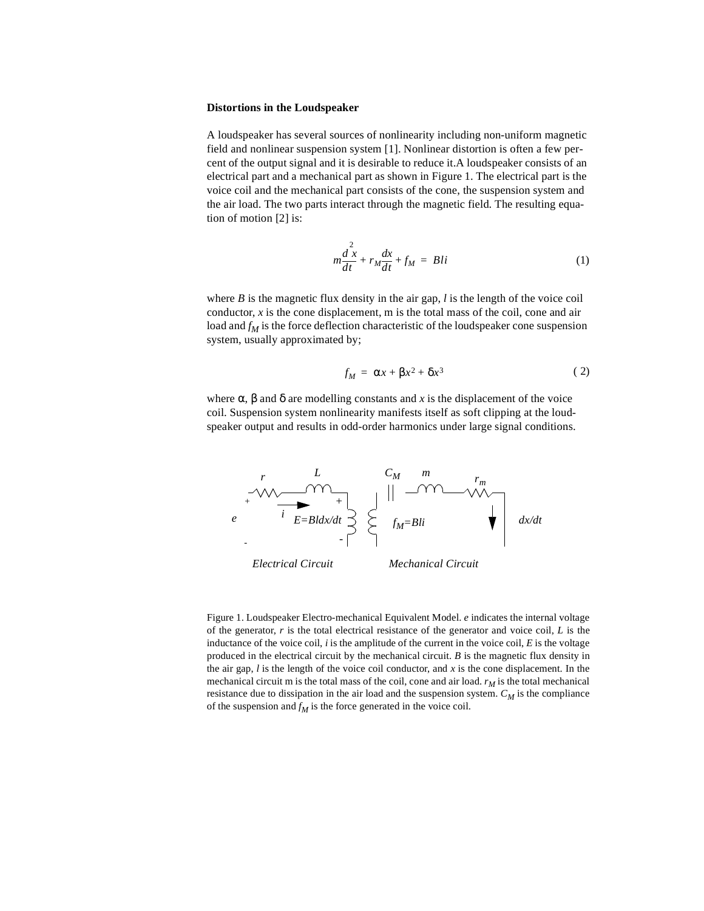#### **Distortions in the Loudspeaker**

A loudspeaker has several sources of nonlinearity including non-uniform magnetic field and nonlinear suspension system [1]. Nonlinear distortion is often a few percent of the output signal and it is desirable to reduce it.A loudspeaker consists of an electrical part and a mechanical part as shown in Figure 1. The electrical part is the voice coil and the mechanical part consists of the cone, the suspension system and the air load. The two parts interact through the magnetic field. The resulting equation of motion [2] is:

$$
m\frac{d^{2}x}{dt} + r_{M}\frac{dx}{dt} + f_{M} = Bli
$$
 (1)

where *B* is the magnetic flux density in the air gap, *l* is the length of the voice coil conductor, *x* is the cone displacement, m is the total mass of the coil, cone and air load and  $f_M$  is the force deflection characteristic of the loudspeaker cone suspension system, usually approximated by;

$$
f_M = \alpha x + \beta x^2 + \delta x^3 \tag{2}
$$

where  $\alpha$ ,  $\beta$  and  $\delta$  are modelling constants and *x* is the displacement of the voice coil. Suspension system nonlinearity manifests itself as soft clipping at the loudspeaker output and results in odd-order harmonics under large signal conditions.



Figure 1. Loudspeaker Electro-mechanical Equivalent Model. *e* indicates the internal voltage of the generator,  $r$  is the total electrical resistance of the generator and voice coil,  $L$  is the inductance of the voice coil,  $i$  is the amplitude of the current in the voice coil,  $E$  is the voltage produced in the electrical circuit by the mechanical circuit. *B* is the magnetic flux density in the air gap, *l* is the length of the voice coil conductor, and *x* is the cone displacement. In the mechanical circuit m is the total mass of the coil, cone and air load.  $r_M$  is the total mechanical resistance due to dissipation in the air load and the suspension system.  $C_M$  is the compliance of the suspension and  $f_M$  is the force generated in the voice coil.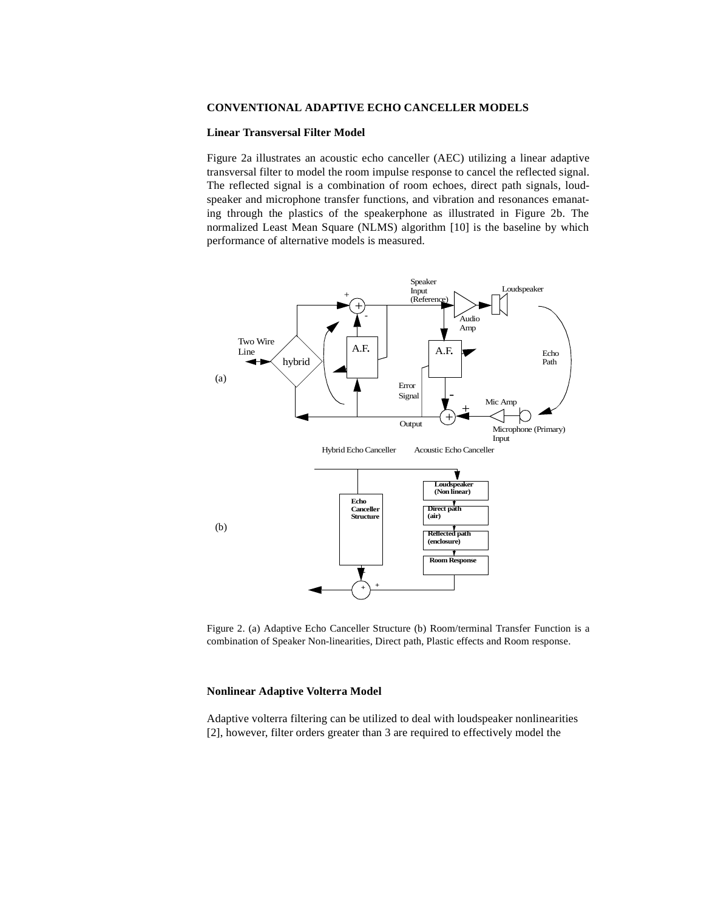## **CONVENTIONAL ADAPTIVE ECHO CANCELLER MODELS**

## **Linear Transversal Filter Model**

Figure 2a illustrates an acoustic echo canceller (AEC) utilizing a linear adaptive transversal filter to model the room impulse response to cancel the reflected signal. The reflected signal is a combination of room echoes, direct path signals, loudspeaker and microphone transfer functions, and vibration and resonances emanating through the plastics of the speakerphone as illustrated in Figure 2b. The normalized Least Mean Square (NLMS) algorithm [10] is the baseline by which performance of alternative models is measured.



Figure 2. (a) Adaptive Echo Canceller Structure (b) Room/terminal Transfer Function is a combination of Speaker Non-linearities, Direct path, Plastic effects and Room response.

## **Nonlinear Adaptive Volterra Model**

Adaptive volterra filtering can be utilized to deal with loudspeaker nonlinearities [2], however, filter orders greater than 3 are required to effectively model the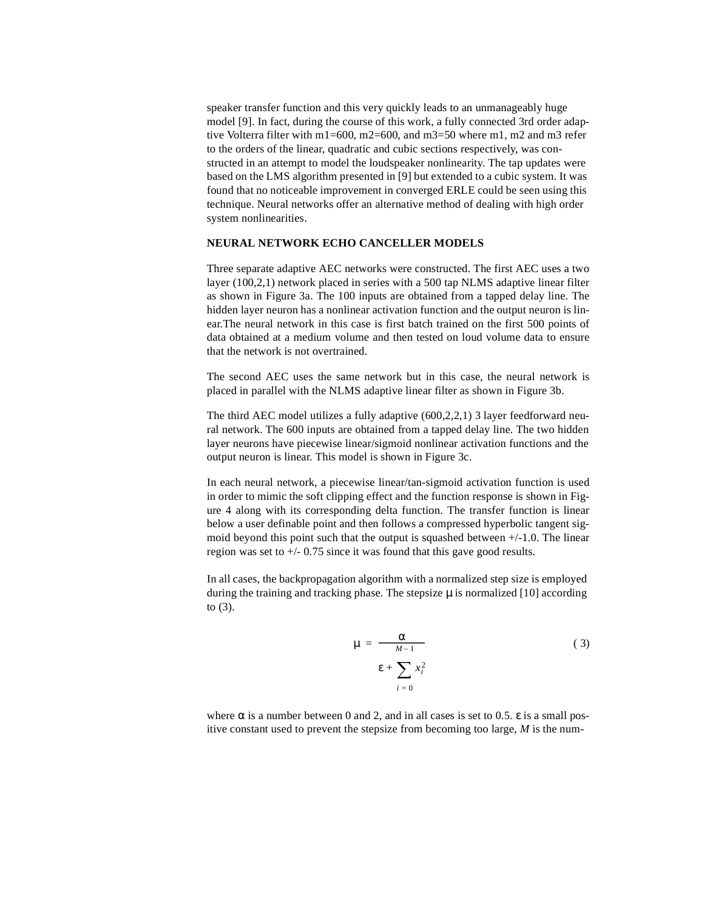speaker transfer function and this very quickly leads to an unmanageably huge model [9]. In fact, during the course of this work, a fully connected 3rd order adaptive Volterra filter with m1=600, m2=600, and m3=50 where m1, m2 and m3 refer to the orders of the linear, quadratic and cubic sections respectively, was constructed in an attempt to model the loudspeaker nonlinearity. The tap updates were based on the LMS algorithm presented in [9] but extended to a cubic system. It was found that no noticeable improvement in converged ERLE could be seen using this technique. Neural networks offer an alternative method of dealing with high order system nonlinearities.

#### **NEURAL NETWORK ECHO CANCELLER MODELS**

Three separate adaptive AEC networks were constructed. The first AEC uses a two layer (100,2,1) network placed in series with a 500 tap NLMS adaptive linear filter as shown in Figure 3a. The 100 inputs are obtained from a tapped delay line. The hidden layer neuron has a nonlinear activation function and the output neuron is linear.The neural network in this case is first batch trained on the first 500 points of data obtained at a medium volume and then tested on loud volume data to ensure that the network is not overtrained.

The second AEC uses the same network but in this case, the neural network is placed in parallel with the NLMS adaptive linear filter as shown in Figure 3b.

The third AEC model utilizes a fully adaptive (600,2,2,1) 3 layer feedforward neural network. The 600 inputs are obtained from a tapped delay line. The two hidden layer neurons have piecewise linear/sigmoid nonlinear activation functions and the output neuron is linear. This model is shown in Figure 3c.

In each neural network, a piecewise linear/tan-sigmoid activation function is used in order to mimic the soft clipping effect and the function response is shown in Figure 4 along with its corresponding delta function. The transfer function is linear below a user definable point and then follows a compressed hyperbolic tangent sigmoid beyond this point such that the output is squashed between +/-1.0. The linear region was set to +/- 0.75 since it was found that this gave good results.

In all cases, the backpropagation algorithm with a normalized step size is employed during the training and tracking phase. The stepsize  $\mu$  is normalized [10] according to (3).

$$
\mu = \frac{\alpha}{M-1}
$$
\n
$$
\epsilon + \sum_{i=0} x_i^2
$$
\n(3)

where  $\alpha$  is a number between 0 and 2, and in all cases is set to 0.5.  $\varepsilon$  is a small positive constant used to prevent the stepsize from becoming too large, *M* is the num-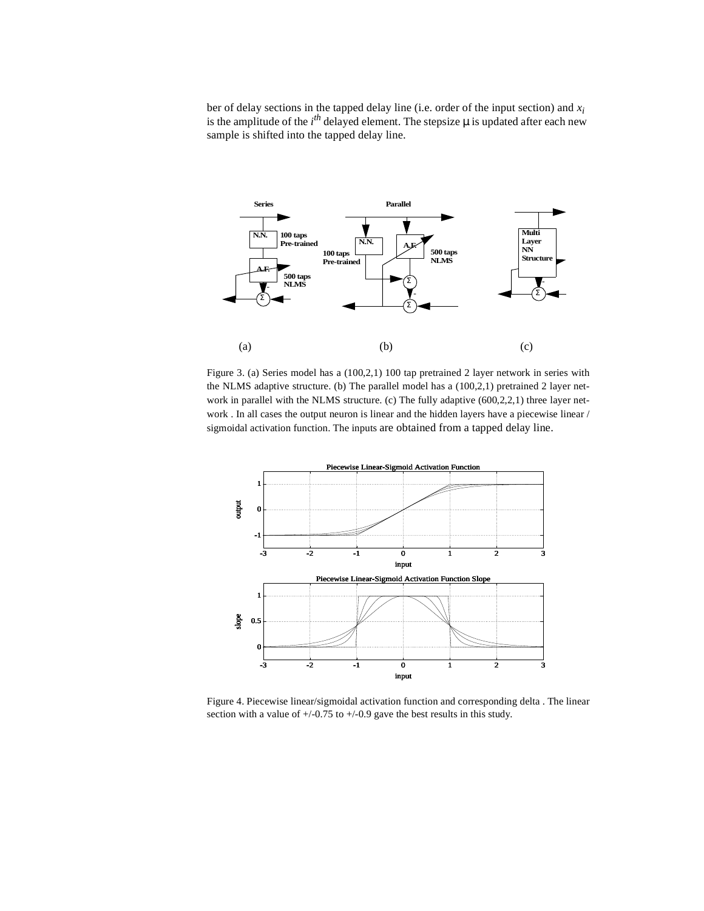ber of delay sections in the tapped delay line (i.e. order of the input section) and *xi* is the amplitude of the  $i<sup>th</sup>$  delayed element. The stepsize  $\mu$  is updated after each new sample is shifted into the tapped delay line.



Figure 3. (a) Series model has a (100,2,1) 100 tap pretrained 2 layer network in series with the NLMS adaptive structure. (b) The parallel model has a (100,2,1) pretrained 2 layer network in parallel with the NLMS structure. (c) The fully adaptive  $(600, 2, 2, 1)$  three layer network . In all cases the output neuron is linear and the hidden layers have a piecewise linear / sigmoidal activation function. The inputs are obtained from a tapped delay line.



Figure 4. Piecewise linear/sigmoidal activation function and corresponding delta . The linear section with a value of  $+/0.75$  to  $+/0.9$  gave the best results in this study.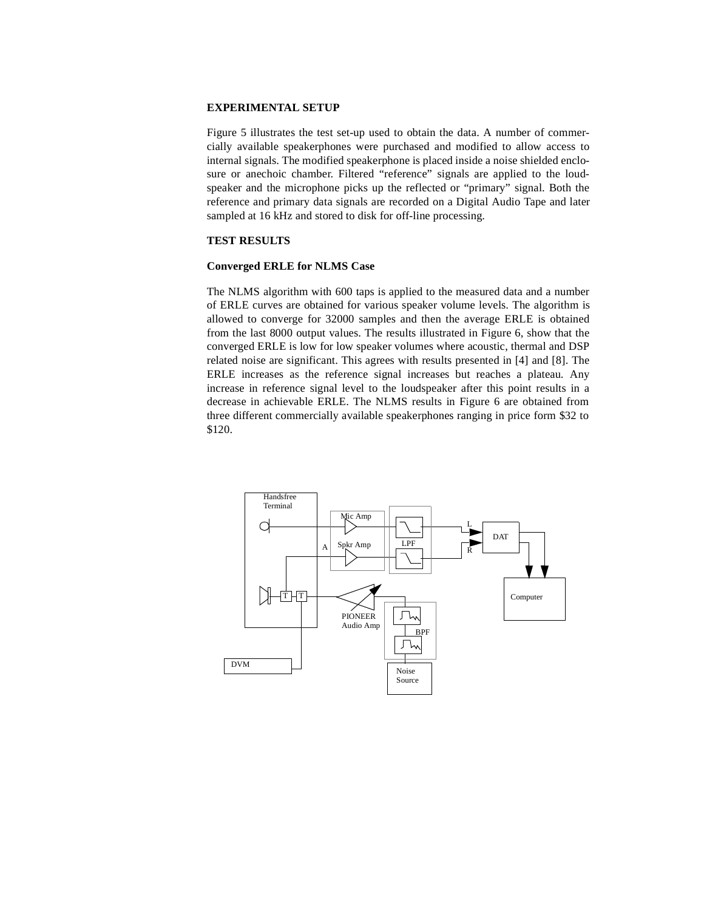# **EXPERIMENTAL SETUP**

Figure 5 illustrates the test set-up used to obtain the data. A number of commercially available speakerphones were purchased and modified to allow access to internal signals. The modified speakerphone is placed inside a noise shielded enclosure or anechoic chamber. Filtered "reference" signals are applied to the loudspeaker and the microphone picks up the reflected or "primary" signal. Both the reference and primary data signals are recorded on a Digital Audio Tape and later sampled at 16 kHz and stored to disk for off-line processing.

# **TEST RESULTS**

## **Converged ERLE for NLMS Case**

The NLMS algorithm with 600 taps is applied to the measured data and a number of ERLE curves are obtained for various speaker volume levels. The algorithm is allowed to converge for 32000 samples and then the average ERLE is obtained from the last 8000 output values. The results illustrated in Figure 6, show that the converged ERLE is low for low speaker volumes where acoustic, thermal and DSP related noise are significant. This agrees with results presented in [4] and [8]. The ERLE increases as the reference signal increases but reaches a plateau. Any increase in reference signal level to the loudspeaker after this point results in a decrease in achievable ERLE. The NLMS results in Figure 6 are obtained from three different commercially available speakerphones ranging in price form \$32 to \$120.

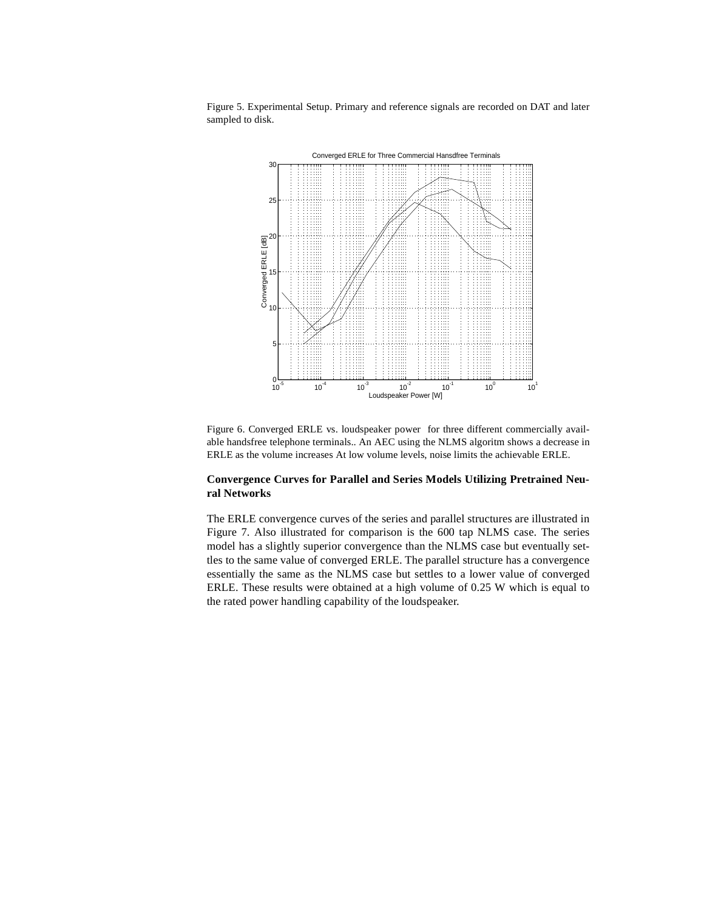

Figure 5. Experimental Setup. Primary and reference signals are recorded on DAT and later sampled to disk.

Figure 6. Converged ERLE vs. loudspeaker power for three different commercially available handsfree telephone terminals.. An AEC using the NLMS algoritm shows a decrease in ERLE as the volume increases At low volume levels, noise limits the achievable ERLE.

# **Convergence Curves for Parallel and Series Models Utilizing Pretrained Neural Networks**

The ERLE convergence curves of the series and parallel structures are illustrated in Figure 7. Also illustrated for comparison is the 600 tap NLMS case. The series model has a slightly superior convergence than the NLMS case but eventually settles to the same value of converged ERLE. The parallel structure has a convergence essentially the same as the NLMS case but settles to a lower value of converged ERLE. These results were obtained at a high volume of 0.25 W which is equal to the rated power handling capability of the loudspeaker.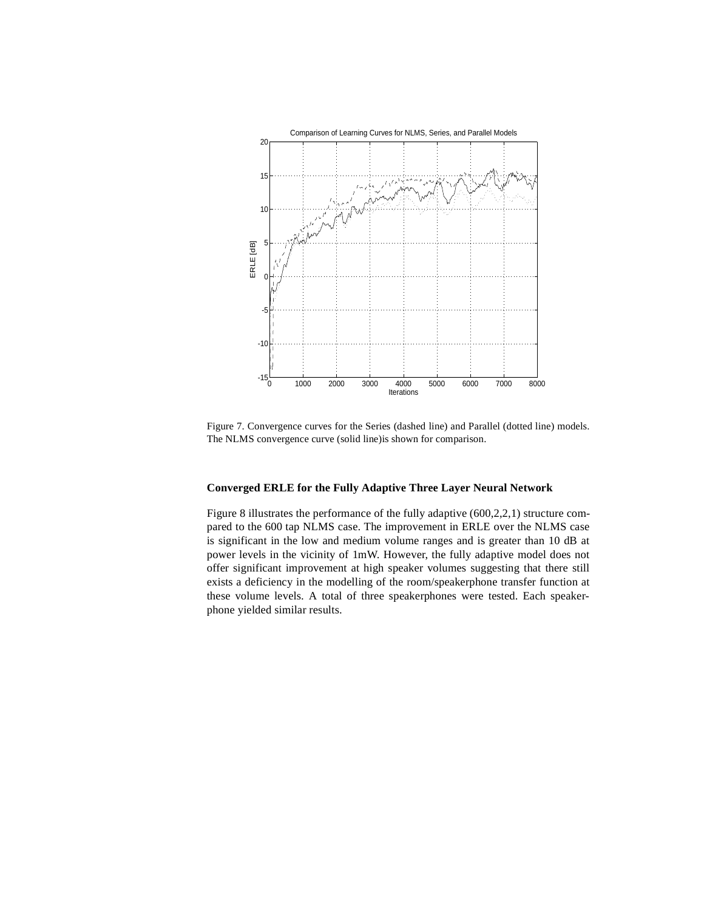

Figure 7. Convergence curves for the Series (dashed line) and Parallel (dotted line) models. The NLMS convergence curve (solid line)is shown for comparison.

# **Converged ERLE for the Fully Adaptive Three Layer Neural Network**

Figure 8 illustrates the performance of the fully adaptive (600,2,2,1) structure compared to the 600 tap NLMS case. The improvement in ERLE over the NLMS case is significant in the low and medium volume ranges and is greater than 10 dB at power levels in the vicinity of 1mW. However, the fully adaptive model does not offer significant improvement at high speaker volumes suggesting that there still exists a deficiency in the modelling of the room/speakerphone transfer function at these volume levels. A total of three speakerphones were tested. Each speakerphone yielded similar results.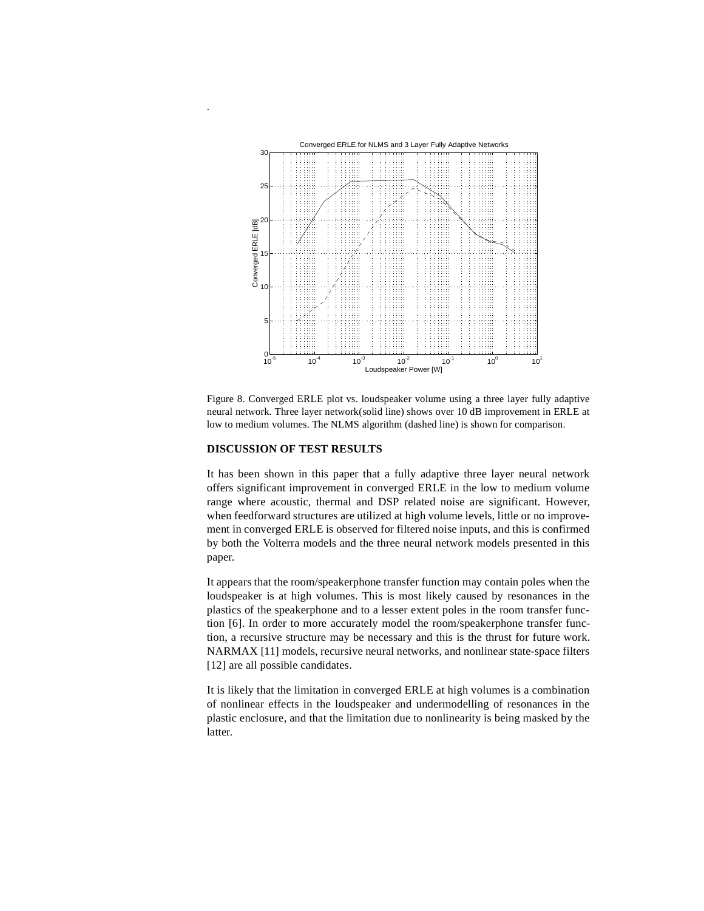

Figure 8. Converged ERLE plot vs. loudspeaker volume using a three layer fully adaptive neural network. Three layer network(solid line) shows over 10 dB improvement in ERLE at low to medium volumes. The NLMS algorithm (dashed line) is shown for comparison.

# **DISCUSSION OF TEST RESULTS**

.

It has been shown in this paper that a fully adaptive three layer neural network offers significant improvement in converged ERLE in the low to medium volume range where acoustic, thermal and DSP related noise are significant. However, when feedforward structures are utilized at high volume levels, little or no improvement in converged ERLE is observed for filtered noise inputs, and this is confirmed by both the Volterra models and the three neural network models presented in this paper.

It appears that the room/speakerphone transfer function may contain poles when the loudspeaker is at high volumes. This is most likely caused by resonances in the plastics of the speakerphone and to a lesser extent poles in the room transfer function [6]. In order to more accurately model the room/speakerphone transfer function, a recursive structure may be necessary and this is the thrust for future work. NARMAX [11] models, recursive neural networks, and nonlinear state-space filters [12] are all possible candidates.

It is likely that the limitation in converged ERLE at high volumes is a combination of nonlinear effects in the loudspeaker and undermodelling of resonances in the plastic enclosure, and that the limitation due to nonlinearity is being masked by the latter.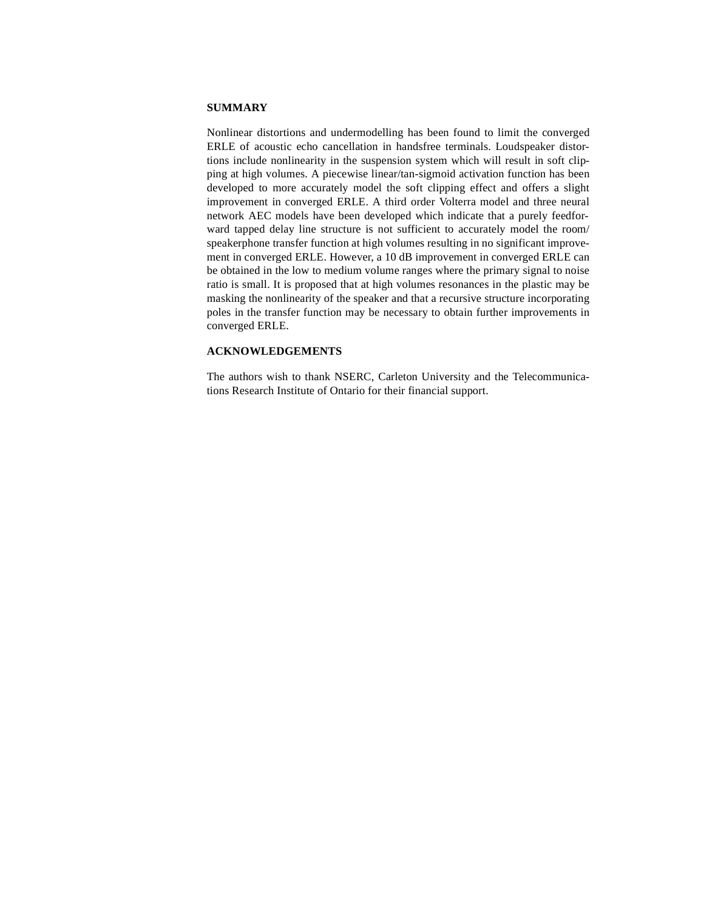# **SUMMARY**

Nonlinear distortions and undermodelling has been found to limit the converged ERLE of acoustic echo cancellation in handsfree terminals. Loudspeaker distortions include nonlinearity in the suspension system which will result in soft clipping at high volumes. A piecewise linear/tan-sigmoid activation function has been developed to more accurately model the soft clipping effect and offers a slight improvement in converged ERLE. A third order Volterra model and three neural network AEC models have been developed which indicate that a purely feedforward tapped delay line structure is not sufficient to accurately model the room/ speakerphone transfer function at high volumes resulting in no significant improvement in converged ERLE. However, a 10 dB improvement in converged ERLE can be obtained in the low to medium volume ranges where the primary signal to noise ratio is small. It is proposed that at high volumes resonances in the plastic may be masking the nonlinearity of the speaker and that a recursive structure incorporating poles in the transfer function may be necessary to obtain further improvements in converged ERLE.

## **ACKNOWLEDGEMENTS**

The authors wish to thank NSERC, Carleton University and the Telecommunications Research Institute of Ontario for their financial support.